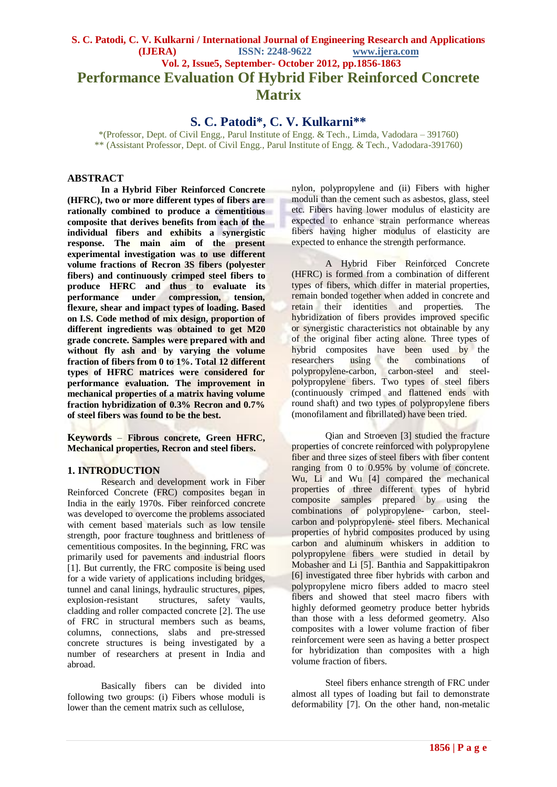# **S. C. Patodi, C. V. Kulkarni / International Journal of Engineering Research and Applications (IJERA) ISSN: 2248-9622 www.ijera.com Vol. 2, Issue5, September- October 2012, pp.1856-1863 Performance Evaluation Of Hybrid Fiber Reinforced Concrete Matrix**

**S. C. Patodi\*, C. V. Kulkarni\*\***

\*(Professor, Dept. of Civil Engg., Parul Institute of Engg. & Tech., Limda, Vadodara – 391760) \*\* (Assistant Professor, Dept. of Civil Engg., Parul Institute of Engg. & Tech., Vadodara-391760)

#### **ABSTRACT**

**In a Hybrid Fiber Reinforced Concrete (HFRC), two or more different types of fibers are rationally combined to produce a cementitious composite that derives benefits from each of the individual fibers and exhibits a synergistic response. The main aim of the present experimental investigation was to use different volume fractions of Recron 3S fibers (polyester fibers) and continuously crimped steel fibers to produce HFRC and thus to evaluate its performance under compression, tension, flexure, shear and impact types of loading. Based on I.S. Code method of mix design, proportion of different ingredients was obtained to get M20 grade concrete. Samples were prepared with and without fly ash and by varying the volume fraction of fibers from 0 to 1%. Total 12 different types of HFRC matrices were considered for performance evaluation. The improvement in mechanical properties of a matrix having volume fraction hybridization of 0.3% Recron and 0.7% of steel fibers was found to be the best.**

**Keywords** – **Fibrous concrete, Green HFRC, Mechanical properties, Recron and steel fibers.**

#### **1. INTRODUCTION**

Research and development work in Fiber Reinforced Concrete (FRC) composites began in India in the early 1970s. Fiber reinforced concrete was developed to overcome the problems associated with cement based materials such as low tensile strength, poor fracture toughness and brittleness of cementitious composites. In the beginning, FRC was primarily used for pavements and industrial floors [1]. But currently, the FRC composite is being used for a wide variety of applications including bridges, tunnel and canal linings, hydraulic structures, pipes, explosion-resistant structures, safety vaults, cladding and roller compacted concrete [2]. The use of FRC in structural members such as beams, columns, connections, slabs and pre-stressed concrete structures is being investigated by a number of researchers at present in India and abroad.

Basically fibers can be divided into following two groups: (i) Fibers whose moduli is lower than the cement matrix such as cellulose,

nylon, polypropylene and (ii) Fibers with higher moduli than the cement such as asbestos, glass, steel etc. Fibers having lower modulus of elasticity are expected to enhance strain performance whereas fibers having higher modulus of elasticity are expected to enhance the strength performance.

A Hybrid Fiber Reinforced Concrete (HFRC) is formed from a combination of different types of fibers, which differ in material properties, remain bonded together when added in concrete and retain their identities and properties. The hybridization of fibers provides improved specific or synergistic characteristics not obtainable by any of the original fiber acting alone. Three types of hybrid composites have been used by the researchers using the combinations of polypropylene-carbon, carbon-steel and steelpolypropylene fibers. Two types of steel fibers (continuously crimped and flattened ends with round shaft) and two types of polypropylene fibers (monofilament and fibrillated) have been tried.

Qian and Stroeven [3] studied the fracture properties of concrete reinforced with polypropylene fiber and three sizes of steel fibers with fiber content ranging from 0 to 0.95% by volume of concrete. Wu, Li and Wu [4] compared the mechanical properties of three different types of hybrid composite samples prepared by using the combinations of polypropylene- carbon, steelcarbon and polypropylene- steel fibers. Mechanical properties of hybrid composites produced by using carbon and aluminum whiskers in addition to polypropylene fibers were studied in detail by Mobasher and Li [5]. Banthia and Sappakittipakron [6] investigated three fiber hybrids with carbon and polypropylene micro fibers added to macro steel fibers and showed that steel macro fibers with highly deformed geometry produce better hybrids than those with a less deformed geometry. Also composites with a lower volume fraction of fiber reinforcement were seen as having a better prospect for hybridization than composites with a high volume fraction of fibers.

Steel fibers enhance strength of FRC under almost all types of loading but fail to demonstrate deformability [7]. On the other hand, non-metalic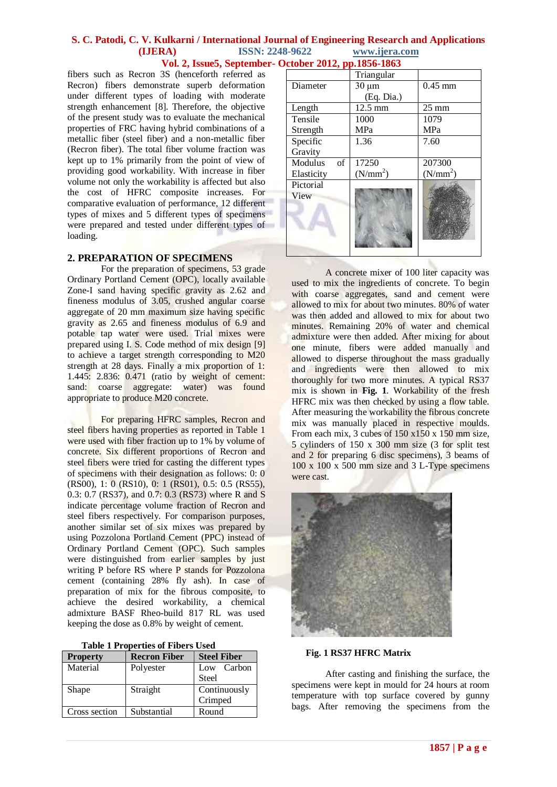fibers such as Recron 3S (henceforth referred as Recron) fibers demonstrate superb deformation under different types of loading with moderate strength enhancement [8]. Therefore, the objective of the present study was to evaluate the mechanical properties of FRC having hybrid combinations of a metallic fiber (steel fiber) and a non-metallic fiber (Recron fiber). The total fiber volume fraction was kept up to 1% primarily from the point of view of providing good workability. With increase in fiber volume not only the workability is affected but also the cost of HFRC composite increases. For comparative evaluation of performance, 12 different types of mixes and 5 different types of specimens were prepared and tested under different types of loading.

### **2. PREPARATION OF SPECIMENS**

For the preparation of specimens, 53 grade Ordinary Portland Cement (OPC), locally available Zone-I sand having specific gravity as 2.62 and fineness modulus of 3.05, crushed angular coarse aggregate of 20 mm maximum size having specific gravity as 2.65 and fineness modulus of 6.9 and potable tap water were used. Trial mixes were prepared using I. S. Code method of mix design [9] to achieve a target strength corresponding to M20 strength at 28 days. Finally a mix proportion of 1: 1.445: 2.836: 0.471 (ratio by weight of cement: sand: coarse aggregate: water) was found appropriate to produce M20 concrete.

For preparing HFRC samples, Recron and steel fibers having properties as reported in Table 1 were used with fiber fraction up to 1% by volume of concrete. Six different proportions of Recron and steel fibers were tried for casting the different types of specimens with their designation as follows: 0: 0 (RS00), 1: 0 (RS10), 0: 1 (RS01), 0.5: 0.5 (RS55), 0.3: 0.7 (RS37), and 0.7: 0.3 (RS73) where R and S indicate percentage volume fraction of Recron and steel fibers respectively. For comparison purposes, another similar set of six mixes was prepared by using Pozzolona Portland Cement (PPC) instead of Ordinary Portland Cement (OPC). Such samples were distinguished from earlier samples by just writing P before RS where P stands for Pozzolona cement (containing 28% fly ash). In case of preparation of mix for the fibrous composite, to achieve the desired workability, a chemical admixture BASF Rheo-build 817 RL was used keeping the dose as 0.8% by weight of cement.

| <b>Table 1 Properties of Fibers Used</b> |  |
|------------------------------------------|--|
|------------------------------------------|--|

| <b>Property</b> | <b>Recron Fiber</b> | <b>Steel Fiber</b> |  |
|-----------------|---------------------|--------------------|--|
| Material        | Polyester           | Low Carbon         |  |
|                 |                     | <b>Steel</b>       |  |
| Shape           | Straight            | Continuously       |  |
|                 |                     | Crimped            |  |
| Cross section   | Substantial         | Round              |  |

|               | Triangular           |                      |  |
|---------------|----------------------|----------------------|--|
| Diameter      | $30 \mu m$           | $0.45$ mm            |  |
|               | (Eq. Dia.)           |                      |  |
| Length        | 12.5 mm              | $25 \text{ mm}$      |  |
| Tensile       | 1000                 | 1079                 |  |
| Strength      | MPa                  | <b>MPa</b>           |  |
| Specific      | 1.36                 | 7.60                 |  |
| Gravity       |                      |                      |  |
| Modulus<br>of | 17250                | 207300               |  |
| Elasticity    | (N/mm <sup>2</sup> ) | (N/mm <sup>2</sup> ) |  |
| Pictorial     |                      |                      |  |
| View          |                      |                      |  |
|               |                      |                      |  |
|               |                      |                      |  |
|               |                      |                      |  |
|               |                      |                      |  |
|               |                      |                      |  |

A concrete mixer of 100 liter capacity was used to mix the ingredients of concrete. To begin with coarse aggregates, sand and cement were allowed to mix for about two minutes. 80% of water was then added and allowed to mix for about two minutes. Remaining 20% of water and chemical admixture were then added. After mixing for about one minute, fibers were added manually and allowed to disperse throughout the mass gradually and ingredients were then allowed to mix thoroughly for two more minutes. A typical RS37 mix is shown in **Fig. 1**. Workability of the fresh HFRC mix was then checked by using a flow table. After measuring the workability the fibrous concrete mix was manually placed in respective moulds. From each mix, 3 cubes of  $150 \times 150 \times 150$  mm size, 5 cylinders of 150 x 300 mm size (3 for split test and 2 for preparing 6 disc specimens), 3 beams of 100 x 100 x 500 mm size and 3 L-Type specimens were cast.



#### **Fig. 1 RS37 HFRC Matrix**

After casting and finishing the surface, the specimens were kept in mould for 24 hours at room temperature with top surface covered by gunny bags. After removing the specimens from the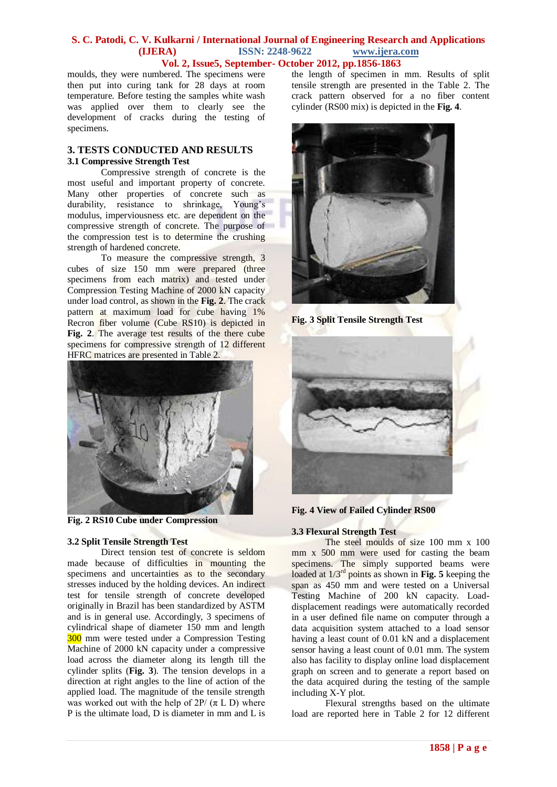moulds, they were numbered. The specimens were then put into curing tank for 28 days at room temperature. Before testing the samples white wash was applied over them to clearly see the development of cracks during the testing of specimens.

# **3. TESTS CONDUCTED AND RESULTS 3.1 Compressive Strength Test**

Compressive strength of concrete is the most useful and important property of concrete. Many other properties of concrete such as durability, resistance to shrinkage, Young's modulus, imperviousness etc. are dependent on the compressive strength of concrete. The purpose of the compression test is to determine the crushing strength of hardened concrete.

To measure the compressive strength, 3 cubes of size 150 mm were prepared (three specimens from each matrix) and tested under Compression Testing Machine of 2000 kN capacity under load control, as shown in the **Fig. 2**. The crack pattern at maximum load for cube having 1% Recron fiber volume (Cube RS10) is depicted in **Fig. 2**. The average test results of the there cube specimens for compressive strength of 12 different HFRC matrices are presented in Table 2.



**Fig. 2 RS10 Cube under Compression**

# **3.2 Split Tensile Strength Test**

Direct tension test of concrete is seldom made because of difficulties in mounting the specimens and uncertainties as to the secondary stresses induced by the holding devices. An indirect test for tensile strength of concrete developed originally in Brazil has been standardized by ASTM and is in general use. Accordingly, 3 specimens of cylindrical shape of diameter 150 mm and length 300 mm were tested under a Compression Testing Machine of 2000 kN capacity under a compressive load across the diameter along its length till the cylinder splits (**Fig. 3**). The tension develops in a direction at right angles to the line of action of the applied load. The magnitude of the tensile strength was worked out with the help of  $2P/(\pi L)$  where P is the ultimate load, D is diameter in mm and L is the length of specimen in mm. Results of split tensile strength are presented in the Table 2. The crack pattern observed for a no fiber content cylinder (RS00 mix) is depicted in the **Fig. 4**.



**Fig. 3 Split Tensile Strength Test** 





# **3.3 Flexural Strength Test**

The steel moulds of size 100 mm x 100 mm x 500 mm were used for casting the beam specimens. The simply supported beams were loaded at 1/3rd points as shown in **Fig. 5** keeping the span as 450 mm and were tested on a Universal Testing Machine of 200 kN capacity. Loaddisplacement readings were automatically recorded in a user defined file name on computer through a data acquisition system attached to a load sensor having a least count of 0.01 kN and a displacement sensor having a least count of 0.01 mm. The system also has facility to display online load displacement graph on screen and to generate a report based on the data acquired during the testing of the sample including X-Y plot.

Flexural strengths based on the ultimate load are reported here in Table 2 for 12 different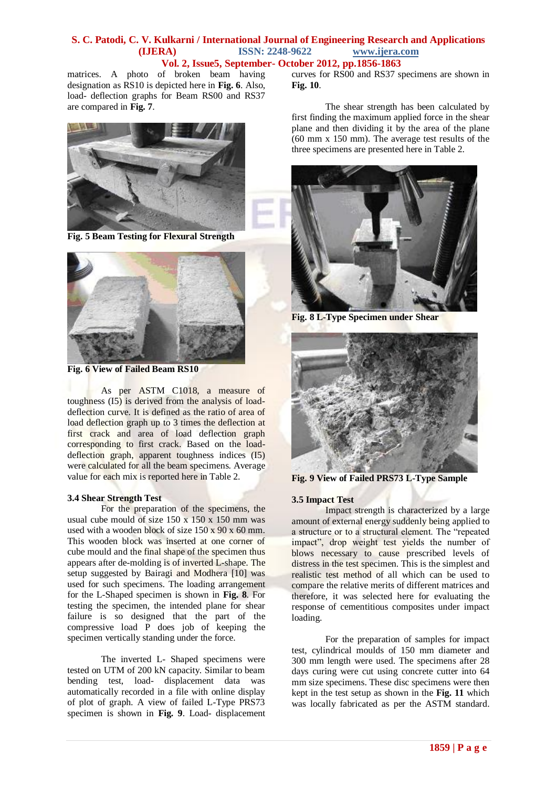matrices. A photo of broken beam having designation as RS10 is depicted here in **Fig. 6**. Also, load- deflection graphs for Beam RS00 and RS37 are compared in **Fig. 7**.



**Fig. 5 Beam Testing for Flexural Strength** 



**Fig. 6 View of Failed Beam RS10**

As per ASTM C1018, a measure of toughness (I5) is derived from the analysis of loaddeflection curve. It is defined as the ratio of area of load deflection graph up to 3 times the deflection at first crack and area of load deflection graph corresponding to first crack. Based on the loaddeflection graph, apparent toughness indices (I5) were calculated for all the beam specimens. Average value for each mix is reported here in Table 2.

#### **3.4 Shear Strength Test**

For the preparation of the specimens, the usual cube mould of size  $150 \times 150 \times 150$  mm was used with a wooden block of size  $150 \times 90 \times 60$  mm. This wooden block was inserted at one corner of cube mould and the final shape of the specimen thus appears after de-molding is of inverted L-shape. The setup suggested by Bairagi and Modhera [10] was used for such specimens. The loading arrangement for the L-Shaped specimen is shown in **Fig. 8**. For testing the specimen, the intended plane for shear failure is so designed that the part of the compressive load P does job of keeping the specimen vertically standing under the force.

The inverted L- Shaped specimens were tested on UTM of 200 kN capacity. Similar to beam bending test, load- displacement data was automatically recorded in a file with online display of plot of graph. A view of failed L-Type PRS73 specimen is shown in **Fig. 9**. Load- displacement

curves for RS00 and RS37 specimens are shown in **Fig. 10**.

The shear strength has been calculated by first finding the maximum applied force in the shear plane and then dividing it by the area of the plane (60 mm x 150 mm). The average test results of the three specimens are presented here in Table 2.



**Fig. 8 L-Type Specimen under Shear** 



**Fig. 9 View of Failed PRS73 L-Type Sample**

#### **3.5 Impact Test**

Impact strength is characterized by a large amount of external energy suddenly being applied to a structure or to a structural element. The "repeated impact", drop weight test yields the number of blows necessary to cause prescribed levels of distress in the test specimen. This is the simplest and realistic test method of all which can be used to compare the relative merits of different matrices and therefore, it was selected here for evaluating the response of cementitious composites under impact loading.

For the preparation of samples for impact test, cylindrical moulds of 150 mm diameter and 300 mm length were used. The specimens after 28 days curing were cut using concrete cutter into 64 mm size specimens. These disc specimens were then kept in the test setup as shown in the **Fig. 11** which was locally fabricated as per the ASTM standard.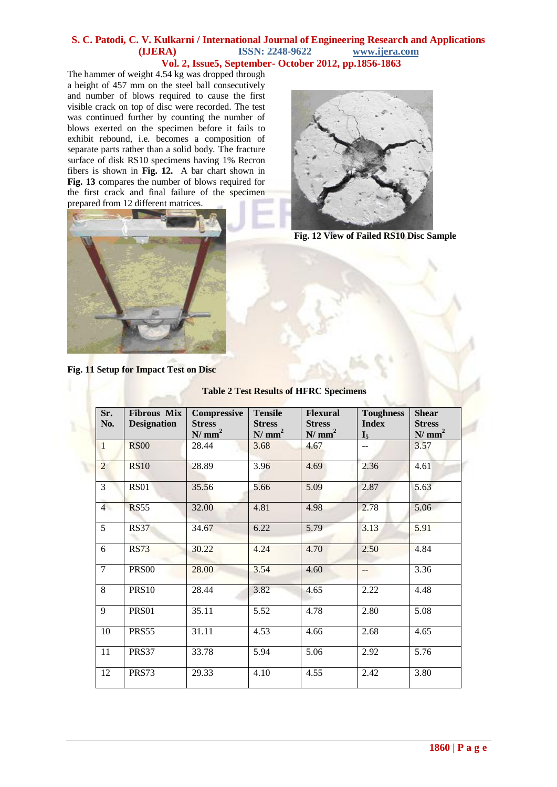The hammer of weight 4.54 kg was dropped through a height of 457 mm on the steel ball consecutively and number of blows required to cause the first visible crack on top of disc were recorded. The test was continued further by counting the number of blows exerted on the specimen before it fails to exhibit rebound, i.e. becomes a composition of separate parts rather than a solid body. The fracture surface of disk RS10 specimens having 1% Recron fibers is shown in **Fig. 12.** A bar chart shown in **Fig. 13** compares the number of blows required for the first crack and final failure of the specimen prepared from 12 different matrices.





**Fig. 12 View of Failed RS10 Disc Sample**

**Fig. 11 Setup for Impact Test on Disc**

| Sr.<br>No.     | <b>Fibrous Mix</b><br><b>Designation</b> | <b>Compressive</b><br><b>Stress</b><br>N/mm <sup>2</sup> | <b>Tensile</b><br><b>Stress</b><br>N/mm <sup>2</sup> | <b>Flexural</b><br><b>Stress</b><br>N/mm <sup>2</sup> | <b>Toughness</b><br><b>Index</b> | <b>Shear</b><br><b>Stress</b><br>N/mm <sup>2</sup> |
|----------------|------------------------------------------|----------------------------------------------------------|------------------------------------------------------|-------------------------------------------------------|----------------------------------|----------------------------------------------------|
| $\mathbf{1}$   | <b>RS00</b>                              | 28.44                                                    | 3.68                                                 | 4.67                                                  | $I_5$<br>--                      | 3.57                                               |
| $\overline{2}$ | <b>RS10</b>                              | 28.89                                                    | 3.96                                                 | 4.69                                                  | 2.36                             | 4.61                                               |
| 3              | <b>RS01</b>                              | 35.56                                                    | 5.66                                                 | 5.09                                                  | 2.87                             | 5.63                                               |
| $\overline{4}$ | <b>RS55</b>                              | 32.00                                                    | 4.81                                                 | 4.98                                                  | 2.78                             | 5.06                                               |
| 5              | <b>RS37</b>                              | 34.67                                                    | 6.22                                                 | 5.79                                                  | 3.13                             | 5.91                                               |
| 6              | <b>RS73</b>                              | 30.22                                                    | 4.24                                                 | 4.70                                                  | 2.50                             | 4.84                                               |
| $\overline{7}$ | <b>PRS00</b>                             | 28.00                                                    | 3.54                                                 | 4.60                                                  | $-$                              | 3.36                                               |
| 8              | <b>PRS10</b>                             | 28.44                                                    | 3.82                                                 | 4.65                                                  | 2.22                             | 4.48                                               |
| 9              | PRS01                                    | 35.11                                                    | 5.52                                                 | 4.78                                                  | 2.80                             | $\overline{5.08}$                                  |
| 10             | PRS55                                    | 31.11                                                    | 4.53                                                 | 4.66                                                  | 2.68                             | 4.65                                               |
| 11             | PRS37                                    | 33.78                                                    | 5.94                                                 | 5.06                                                  | 2.92                             | 5.76                                               |
| 12             | PRS73                                    | 29.33                                                    | 4.10                                                 | 4.55                                                  | 2.42                             | 3.80                                               |
|                |                                          |                                                          |                                                      |                                                       |                                  |                                                    |

**Table 2 Test Results of HFRC Specimens**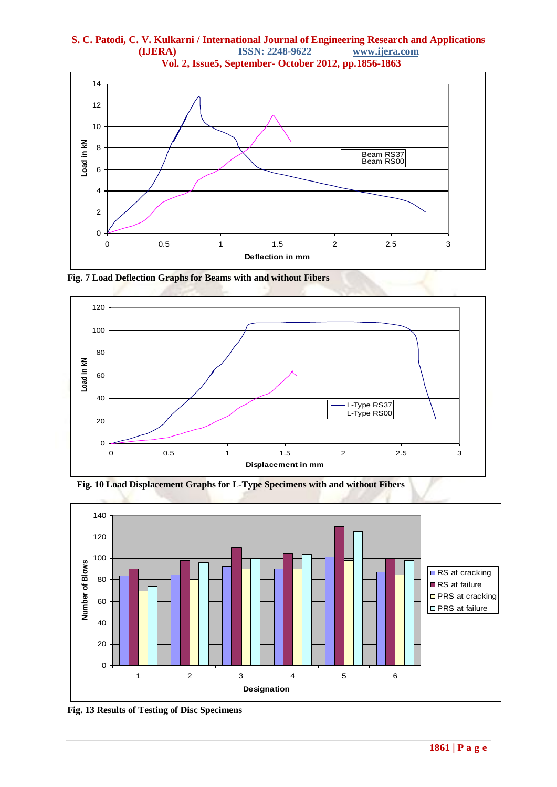

**Fig. 7 Load Deflection Graphs for Beams with and without Fibers**



 **Fig. 10 Load Displacement Graphs for L-Type Specimens with and without Fibers**



**Fig. 13 Results of Testing of Disc Specimens**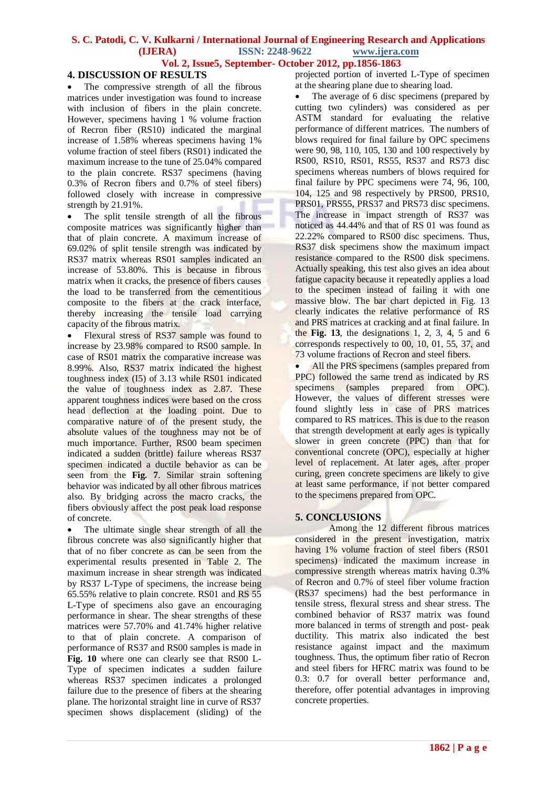# **4. DISCUSSION OF RESULTS**

 The compressive strength of all the fibrous matrices under investigation was found to increase with inclusion of fibers in the plain concrete. However, specimens having 1 % volume fraction of Recron fiber (RS10) indicated the marginal increase of 1.58% whereas specimens having 1% volume fraction of steel fibers (RS01) indicated the maximum increase to the tune of 25.04% compared to the plain concrete. RS37 specimens (having 0.3% of Recron fibers and 0.7% of steel fibers) followed closely with increase in compressive strength by 21.91%.

 The split tensile strength of all the fibrous composite matrices was significantly higher than that of plain concrete. A maximum increase of 69.02% of split tensile strength was indicated by RS37 matrix whereas RS01 samples indicated an increase of 53.80%. This is because in fibrous matrix when it cracks, the presence of fibers causes the load to be transferred from the cementitious composite to the fibers at the crack interface, thereby increasing the tensile load carrying capacity of the fibrous matrix.

 Flexural stress of RS37 sample was found to increase by 23.98% compared to RS00 sample. In case of RS01 matrix the comparative increase was 8.99%. Also, RS37 matrix indicated the highest toughness index (I5) of 3.13 while RS01 indicated the value of toughness index as 2.87. These apparent toughness indices were based on the cross head deflection at the loading point. Due to comparative nature of of the present study, the absolute values of the toughness may not be of much importance. Further, RS00 beam specimen indicated a sudden (brittle) failure whereas RS37 specimen indicated a ductile behavior as can be seen from the **Fig. 7**. Similar strain softening behavior was indicated by all other fibrous matrices also. By bridging across the macro cracks, the fibers obviously affect the post peak load response of concrete.

 The ultimate single shear strength of all the fibrous concrete was also significantly higher that that of no fiber concrete as can be seen from the experimental results presented in Table 2. The maximum increase in shear strength was indicated by RS37 L-Type of specimens, the increase being 65.55% relative to plain concrete. RS01 and RS 55 L-Type of specimens also gave an encouraging performance in shear. The shear strengths of these matrices were 57.70% and 41.74% higher relative to that of plain concrete. A comparison of performance of RS37 and RS00 samples is made in **Fig. 10** where one can clearly see that RS00 L-Type of specimen indicates a sudden failure whereas RS37 specimen indicates a prolonged failure due to the presence of fibers at the shearing plane. The horizontal straight line in curve of RS37 specimen shows displacement (sliding) of the

projected portion of inverted L-Type of specimen at the shearing plane due to shearing load.

• The average of 6 disc specimens (prepared by cutting two cylinders) was considered as per ASTM standard for evaluating the relative performance of different matrices. The numbers of blows required for final failure by OPC specimens were 90, 98, 110, 105, 130 and 100 respectively by RS00, RS10, RS01, RS55, RS37 and RS73 disc specimens whereas numbers of blows required for final failure by PPC specimens were 74, 96, 100, 104, 125 and 98 respectively by PRS00, PRS10, PRS01, PRS55, PRS37 and PRS73 disc specimens. The increase in impact strength of RS37 was noticed as 44.44% and that of RS 01 was found as 22.22% compared to RS00 disc specimens. Thus, RS37 disk specimens show the maximum impact resistance compared to the RS00 disk specimens. Actually speaking, this test also gives an idea about fatigue capacity because it repeatedly applies a load to the specimen instead of failing it with one massive blow. The bar chart depicted in Fig. 13 clearly indicates the relative performance of RS and PRS matrices at cracking and at final failure. In the **Fig. 13**, the designations 1, 2, 3, 4, 5 and 6 corresponds respectively to 00, 10, 01, 55, 37, and 73 volume fractions of Recron and steel fibers.

All the PRS specimens (samples prepared from PPC) followed the same trend as indicated by RS specimens (samples prepared from OPC). However, the values of different stresses were found slightly less in case of PRS matrices compared to RS matrices. This is due to the reason that strength development at early ages is typically slower in green concrete (PPC) than that for conventional concrete (OPC), especially at higher level of replacement. At later ages, after proper curing, green concrete specimens are likely to give at least same performance, if not better compared to the specimens prepared from OPC.

# **5. CONCLUSIONS**

Among the 12 different fibrous matrices considered in the present investigation, matrix having 1% volume fraction of steel fibers (RS01 specimens) indicated the maximum increase in compressive strength whereas matrix having 0.3% of Recron and 0.7% of steel fiber volume fraction (RS37 specimens) had the best performance in tensile stress, flexural stress and shear stress. The combined behavior of RS37 matrix was found more balanced in terms of strength and post- peak ductility. This matrix also indicated the best resistance against impact and the maximum toughness. Thus, the optimum fiber ratio of Recron and steel fibers for HFRC matrix was found to be 0.3: 0.7 for overall better performance and, therefore, offer potential advantages in improving concrete properties.